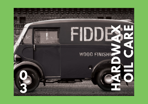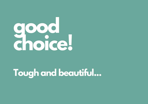

## **Tough and beautiful...**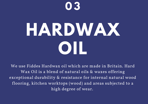

# **HARDWAX OIL**

We use Fiddes Hardwax oil which are made in Britain. Hard Wax Oil is a blend of natural oils & waxes offering exceptional durability & resistance for internal natural wood flooring, kitchen worktops (wood) and areas subjected to a high degree of wear.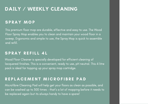#### **DAILY / WEEKLY CLEANING**

#### SPRAY MOP

This premium floor mop are durable, effective and easy to use. The Wood Floor Spray Mop enables you to clean and maintain your wood floor in a sweep. Ergonomic and simple to use, the Spray Mop is quick to assemble and refill.

#### SPRAY REFILL 4L

Wood Floor Cleaner is specially developed for efficient cleaning of lacquered finishes. This is a convenient, ready to use, pH neutral. This 4 litre pack is ideal for topping up your spray mop cartridge.

#### REPLACEMENT MICROFIBRE PAD

Microfibre Cleaning Pad will help get your floors as clean as possible, and can be washed up to 300 times – that' s a lot of mopping before it needs to be replaced again but its always handy to have a spare!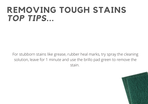## **REMOVING TOUGH STAINS** *TOP TIPS***...**

For stubborn stains like grease, rubber heal marks, try spray the cleaning solution, leave for 1 minute and use the brillo pad green to remove the stain.